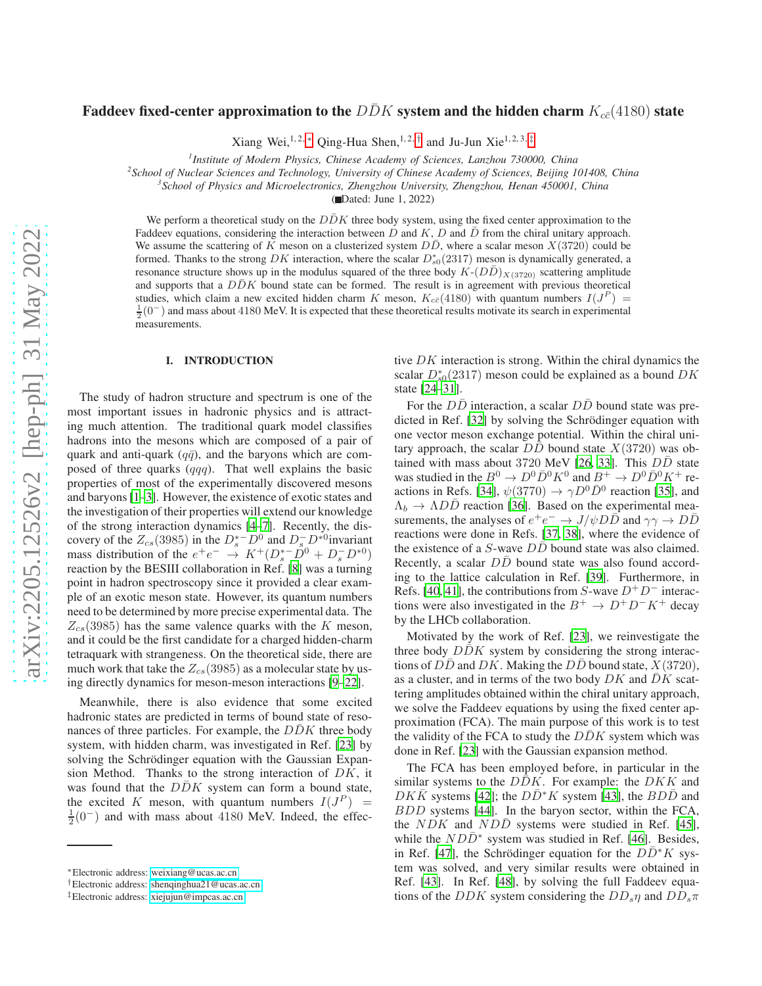# Faddeev fixed-center approximation to the  $D\bar{D}K$  system and the hidden charm  $K_{c\bar{c}}(4180)$  state

Xiang Wei,<sup>1,2,\*</sup> Qing-Hua Shen,<sup>1,2,[†](#page-0-1)</sup> and Ju-Jun Xie<sup>1,2,3,[‡](#page-0-2)</sup>

*1 Institute of Modern Physics, Chinese Academy of Sciences, Lanzhou 730000, China*

*2 School of Nuclear Sciences and Technology, University of Chinese Academy of Sciences, Beijing 101408, China*

*3 School of Physics and Microelectronics, Zhengzhou University, Zhengzhou, Henan 450001, China*

( Dated: June 1, 2022)

We perform a theoretical study on the  $D\bar{D}K$  three body system, using the fixed center approximation to the Faddeev equations, considering the interaction between D and K, D and  $\bar{D}$  from the chiral unitary approach. We assume the scattering of K meson on a clusterized system  $D\bar{D}$ , where a scalar meson  $X(3720)$  could be formed. Thanks to the strong DK interaction, where the scalar  $D_{s0}^*(2317)$  meson is dynamically generated, a resonance structure shows up in the modulus squared of the three body  $K-(D\bar{D})_{X(3720)}$  scattering amplitude and supports that a  $D\bar{D}K$  bound state can be formed. The result is in agreement with previous theoretical studies, which claim a new excited hidden charm K meson,  $K_{c\bar{c}}(4180)$  with quantum numbers  $I(J^P)$  =  $\frac{1}{2}(0^-)$  and mass about 4180 MeV. It is expected that these theoretical results motivate its search in experimental measurements.

#### I. INTRODUCTION

The study of hadron structure and spectrum is one of the most important issues in hadronic physics and is attracting much attention. The traditional quark model classifies hadrons into the mesons which are composed of a pair of quark and anti-quark ( $q\bar{q}$ ), and the baryons which are composed of three quarks  $(qqq)$ . That well explains the basic properties of most of the experimentally discovered mesons and baryons [\[1](#page-4-0)[–3](#page-4-1)]. However, the existence of exotic states and the investigation of their properties will extend our knowledge of the strong interaction dynamics [\[4](#page-5-0)[–7\]](#page-5-1). Recently, the discovery of the  $Z_{cs}(3985)$  in the  $D_s^{\ast -}D^0$  and  $D_s^-D^{\ast 0}$  invariant mass distribution of the  $e^+e^- \rightarrow K^+(D_s^{*-}D^0 + D_s^-D^{*0})$ reaction by the BESIII collaboration in Ref. [\[8\]](#page-5-2) was a turning point in hadron spectroscopy since it provided a clear example of an exotic meson state. However, its quantum numbers need to be determined by more precise experimental data. The  $Z_{cs}(3985)$  has the same valence quarks with the K meson, and it could be the first candidate for a charged hidden-charm tetraquark with strangeness. On the theoretical side, there are much work that take the  $Z_{cs}(3985)$  as a molecular state by using directly dynamics for meson-meson interactions [\[9](#page-5-3)[–22](#page-5-4)].

Meanwhile, there is also evidence that some excited hadronic states are predicted in terms of bound state of resonances of three particles. For example, the  $DDK$  three body system, with hidden charm, was investigated in Ref. [\[23\]](#page-5-5) by solving the Schrödinger equation with the Gaussian Expansion Method. Thanks to the strong interaction of  $DK$ , it was found that the  $DDK$  system can form a bound state, the excited K meson, with quantum numbers  $I(J^P)$  =  $\frac{1}{2}(0^-)$  and with mass about 4180 MeV. Indeed, the effective  $DK$  interaction is strong. Within the chiral dynamics the scalar  $D_{s0}^*(2317)$  meson could be explained as a bound  $DK$ state [\[24](#page-5-6)[–31](#page-5-7)].

For the  $D\overline{D}$  interaction, a scalar  $D\overline{D}$  bound state was pre-dicted in Ref. [\[32\]](#page-5-8) by solving the Schrödinger equation with one vector meson exchange potential. Within the chiral unitary approach, the scalar  $D\bar{D}$  bound state  $X(3720)$  was ob-tained with mass about 3720 MeV [\[26,](#page-5-9) [33\]](#page-5-10). This  $D\bar{D}$  state was studied in the  $B^0 \to D^0 \bar{D}^0 K^0$  and  $B^+ \to D^0 \bar{D}^0 K^+$  re-actions in Refs. [\[34\]](#page-5-11),  $\psi(3770) \rightarrow \gamma D^0 \bar{D}^0$  reaction [\[35\]](#page-5-12), and  $\Lambda_b \to \Lambda D\bar{D}$  reaction [\[36\]](#page-5-13). Based on the experimental measurements, the analyses of  $e^+e^- \to J/\psi D\bar{D}$  and  $\gamma\gamma \to D\bar{D}$ reactions were done in Refs. [\[37,](#page-5-14) [38](#page-5-15)], where the evidence of the existence of a  $S$ -wave  $D\overline{D}$  bound state was also claimed. Recently, a scalar  $D\overline{D}$  bound state was also found according to the lattice calculation in Ref. [\[39\]](#page-5-16). Furthermore, in Refs. [\[40](#page-5-17), [41\]](#page-5-18), the contributions from S-wave  $D^+D^-$  interactions were also investigated in the  $B^+ \to D^+D^-K^+$  decay by the LHCb collaboration.

Motivated by the work of Ref. [\[23\]](#page-5-5), we reinvestigate the three body  $DDK$  system by considering the strong interactions of  $D\overline{D}$  and  $DK$ . Making the  $D\overline{D}$  bound state,  $X(3720)$ , as a cluster, and in terms of the two body  $DK$  and  $DK$  scattering amplitudes obtained within the chiral unitary approach, we solve the Faddeev equations by using the fixed center approximation (FCA). The main purpose of this work is to test the validity of the FCA to study the  $DDK$  system which was done in Ref. [\[23\]](#page-5-5) with the Gaussian expansion method.

The FCA has been employed before, in particular in the similar systems to the  $DDK$ . For example: the  $DKK$  and  $DK\overline{K}$  systems [\[42\]](#page-5-19); the  $D\overline{D}^*K$  system [\[43\]](#page-5-20), the  $BD\overline{D}$  and BDD systems [\[44](#page-5-21)]. In the baryon sector, within the FCA, the  $NDK$  and  $NDD$  systems were studied in Ref. [\[45](#page-5-22)], while the  $ND\bar{D}^*$  system was studied in Ref. [\[46\]](#page-5-23). Besides, in Ref. [\[47\]](#page-5-24), the Schrödinger equation for the  $DD^*K$  system was solved, and very similar results were obtained in Ref. [\[43](#page-5-20)]. In Ref. [\[48](#page-5-25)], by solving the full Faddeev equations of the DDK system considering the  $DD_s\eta$  and  $DD_s\pi$ 

<span id="page-0-0"></span><sup>∗</sup>Electronic address: [weixiang@ucas.ac.cn](mailto:weixiang@ucas.ac.cn)

<span id="page-0-1"></span><sup>†</sup>Electronic address: [shenqinghua21@ucas.ac.cn](mailto:shenqinghua21@ucas.ac.cn)

<span id="page-0-2"></span><sup>‡</sup>Electronic address: [xiejujun@impcas.ac.cn](mailto:xiejujun@impcas.ac.cn)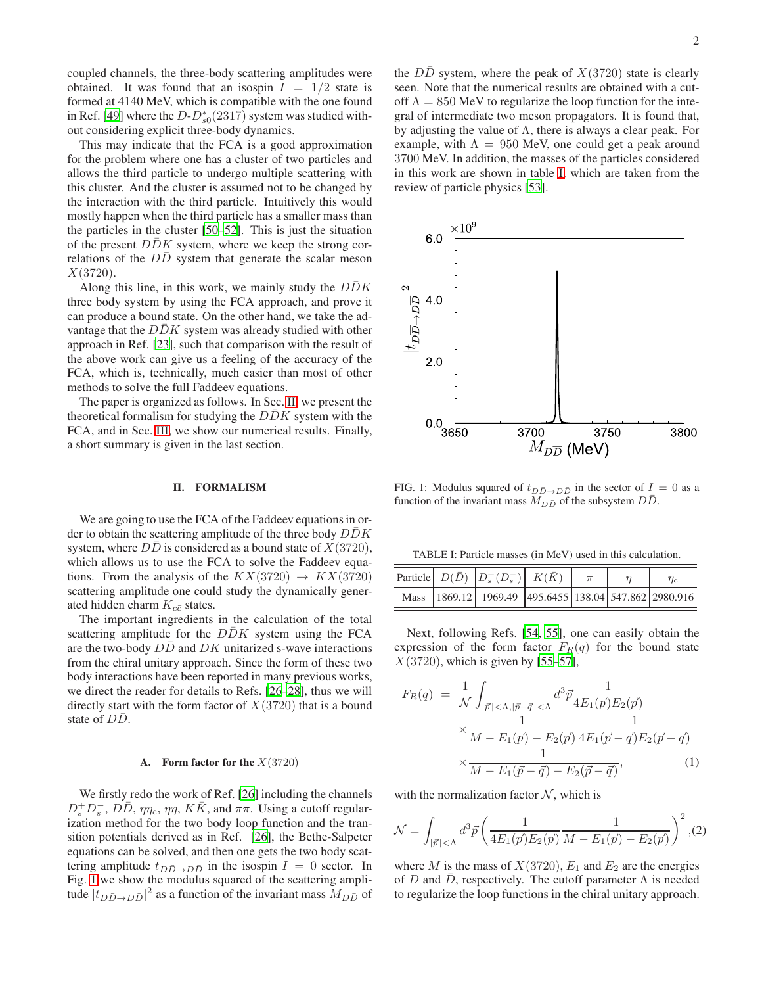coupled channels, the three-body scattering amplitudes were obtained. It was found that an isospin  $I = 1/2$  state is formed at 4140 MeV, which is compatible with the one found in Ref. [\[49\]](#page-5-26) where the  $D-D_{s0}^*(2317)$  system was studied without considering explicit three-body dynamics.

This may indicate that the FCA is a good approximation for the problem where one has a cluster of two particles and allows the third particle to undergo multiple scattering with this cluster. And the cluster is assumed not to be changed by the interaction with the third particle. Intuitively this would mostly happen when the third particle has a smaller mass than the particles in the cluster [\[50](#page-5-27)[–52\]](#page-5-28). This is just the situation of the present  $D\bar{D}K$  system, where we keep the strong correlations of the DD system that generate the scalar meson  $X(3720)$ .

Along this line, in this work, we mainly study the  $D\bar{D}K$ three body system by using the FCA approach, and prove it can produce a bound state. On the other hand, we take the advantage that the  $DDK$  system was already studied with other approach in Ref. [\[23\]](#page-5-5), such that comparison with the result of the above work can give us a feeling of the accuracy of the FCA, which is, technically, much easier than most of other methods to solve the full Faddeev equations.

The paper is organized as follows. In Sec. [II,](#page-1-0) we present the theoretical formalism for studying the  $DDK$  system with the FCA, and in Sec. [III,](#page-4-2) we show our numerical results. Finally, a short summary is given in the last section.

# <span id="page-1-0"></span>II. FORMALISM

We are going to use the FCA of the Faddeev equations in order to obtain the scattering amplitude of the three body  $D\bar{D}K$ system, where  $DD$  is considered as a bound state of  $X(3720)$ , which allows us to use the FCA to solve the Faddeev equations. From the analysis of the  $KX(3720) \rightarrow KX(3720)$ scattering amplitude one could study the dynamically generated hidden charm  $K_{c\bar{c}}$  states.

The important ingredients in the calculation of the total scattering amplitude for the  $DDK$  system using the FCA are the two-body  $DD$  and  $DK$  unitarized s-wave interactions from the chiral unitary approach. Since the form of these two body interactions have been reported in many previous works, we direct the reader for details to Refs. [\[26](#page-5-9)[–28\]](#page-5-29), thus we will directly start with the form factor of  $X(3720)$  that is a bound state of  $D\bar{D}$ .

#### A. Form factor for the  $X(3720)$

We firstly redo the work of Ref. [\[26\]](#page-5-9) including the channels  $D_s^+ D_s^-$ ,  $D\bar{D}$ ,  $\eta \eta_c$ ,  $\eta \eta$ ,  $K\bar{K}$ , and  $\pi \pi$ . Using a cutoff regularization method for the two body loop function and the transition potentials derived as in Ref. [\[26\]](#page-5-9), the Bethe-Salpeter equations can be solved, and then one gets the two body scattering amplitude  $t_{D\bar{D}\rightarrow D\bar{D}}$  in the isospin  $I = 0$  sector. In Fig. [1](#page-1-1) we show the modulus squared of the scattering amplitude  $|t_{D\bar{D}\to D\bar{D}}|^2$  as a function of the invariant mass  $M_{D\bar{D}}$  of

the  $D\overline{D}$  system, where the peak of  $X(3720)$  state is clearly seen. Note that the numerical results are obtained with a cutoff  $\Lambda = 850$  MeV to regularize the loop function for the integral of intermediate two meson propagators. It is found that, by adjusting the value of  $\Lambda$ , there is always a clear peak. For example, with  $\Lambda = 950$  MeV, one could get a peak around 3700 MeV. In addition, the masses of the particles considered in this work are shown in table [I,](#page-1-2) which are taken from the review of particle physics [\[53\]](#page-5-30).



<span id="page-1-1"></span>FIG. 1: Modulus squared of  $t_{D\bar{D}\rightarrow D\bar{D}}$  in the sector of  $I = 0$  as a function of the invariant mass  $\overline{M}_{D\bar{D}}$  of the subsystem  $D\bar{D}$ .

<span id="page-1-2"></span>TABLE I: Particle masses (in MeV) used in this calculation.

|  | Particle $D(\bar{D})$ $\left  D_s^+(D_s^-) \right  K(\bar{K})$ $\pi$ |  | $\eta_c$ |
|--|----------------------------------------------------------------------|--|----------|
|  | Mass 1869.12 1969.49 495.6455 138.04 547.862 2980.916                |  |          |

Next, following Refs. [\[54,](#page-5-31) [55\]](#page-5-32), one can easily obtain the expression of the form factor  $F_R(q)$  for the bound state  $X(3720)$ , which is given by [\[55](#page-5-32)[–57\]](#page-5-33),

<span id="page-1-3"></span>
$$
F_R(q) = \frac{1}{\mathcal{N}} \int_{|\vec{p}| < \Lambda, |\vec{p} - \vec{q}| < \Lambda} d^3 \vec{p} \frac{1}{4E_1(\vec{p})E_2(\vec{p})} \times \frac{1}{M - E_1(\vec{p}) - E_2(\vec{p})} \frac{1}{4E_1(\vec{p} - \vec{q})E_2(\vec{p} - \vec{q})} \times \frac{1}{M - E_1(\vec{p} - \vec{q}) - E_2(\vec{p} - \vec{q})},
$$
(1)

with the normalization factor  $N$ , which is

$$
\mathcal{N} = \int_{|\vec{p}| < \Lambda} d^3 \vec{p} \left( \frac{1}{4E_1(\vec{p})E_2(\vec{p})} \frac{1}{M - E_1(\vec{p}) - E_2(\vec{p})} \right)^2, (2)
$$

where M is the mass of  $X(3720)$ ,  $E_1$  and  $E_2$  are the energies of D and D, respectively. The cutoff parameter  $\Lambda$  is needed to regularize the loop functions in the chiral unitary approach.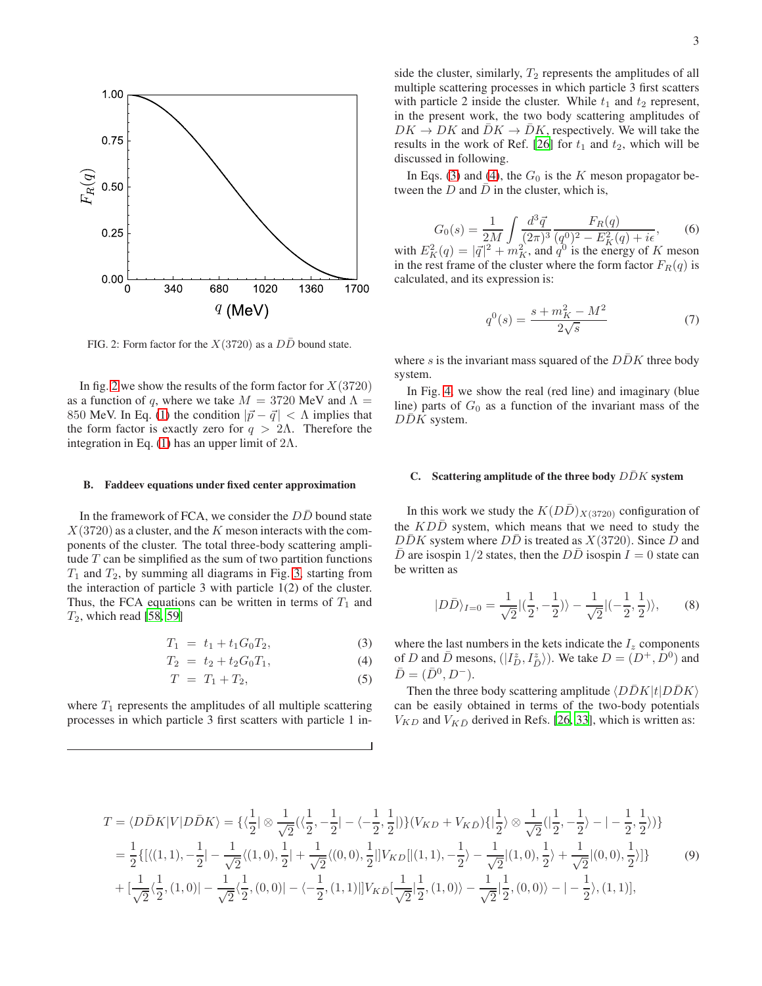

<span id="page-2-0"></span>FIG. 2: Form factor for the  $X(3720)$  as a  $D\overline{D}$  bound state.

In fig. [2](#page-2-0) we show the results of the form factor for  $X(3720)$ as a function of q, where we take  $M = 3720$  MeV and  $\Lambda =$ 850 MeV. In Eq. [\(1\)](#page-1-3) the condition  $|\vec{p} - \vec{q}| < \Lambda$  implies that the form factor is exactly zero for  $q > 2\Lambda$ . Therefore the integration in Eq. [\(1\)](#page-1-3) has an upper limit of  $2\Lambda$ .

#### B. Faddeev equations under fixed center approximation

In the framework of FCA, we consider the  $D\bar{D}$  bound state  $X(3720)$  as a cluster, and the K meson interacts with the components of the cluster. The total three-body scattering amplitude  $T$  can be simplified as the sum of two partition functions  $T_1$  and  $T_2$ , by summing all diagrams in Fig. [3,](#page-3-0) starting from the interaction of particle 3 with particle 1(2) of the cluster. Thus, the FCA equations can be written in terms of  $T_1$  and  $T_2$ , which read [\[58,](#page-5-34) [59\]](#page-5-35)

<span id="page-2-1"></span>
$$
T_1 = t_1 + t_1 G_0 T_2, \t\t(3)
$$

$$
T_2 = t_2 + t_2 G_0 T_1, \tag{4}
$$

$$
T = T_1 + T_2, \tag{5}
$$

where  $T_1$  represents the amplitudes of all multiple scattering processes in which particle 3 first scatters with particle 1 in-

side the cluster, similarly,  $T_2$  represents the amplitudes of all multiple scattering processes in which particle 3 first scatters with particle 2 inside the cluster. While  $t_1$  and  $t_2$  represent, in the present work, the two body scattering amplitudes of  $DK \to DK$  and  $\bar{D}K \to \bar{D}K$ , respectively. We will take the results in the work of Ref. [\[26\]](#page-5-9) for  $t_1$  and  $t_2$ , which will be discussed in following.

In Eqs. [\(3\)](#page-2-1) and [\(4\)](#page-2-1), the  $G_0$  is the K meson propagator between the  $D$  and  $\bar{D}$  in the cluster, which is,

$$
G_0(s) = \frac{1}{2M} \int \frac{d^3 \vec{q}}{(2\pi)^3} \frac{F_R(q)}{(q^0)^2 - E_K^2(q) + i\epsilon},\tag{6}
$$

with  $E_K^2(q) = |\vec{q}|^2 + m_K^2$ , and  $q^0$  is the energy of K meson in the rest frame of the cluster where the form factor  $F_R(q)$  is calculated, and its expression is:

$$
q^{0}(s) = \frac{s + m_{K}^{2} - M^{2}}{2\sqrt{s}}
$$
 (7)

where s is the invariant mass squared of the  $DDK$  three body system.

In Fig. [4,](#page-3-1) we show the real (red line) and imaginary (blue line) parts of  $G_0$  as a function of the invariant mass of the  $DDK$  system.

## C. Scattering amplitude of the three body  $D\bar{D}K$  system

In this work we study the  $K(D\bar{D})_{X(3720)}$  configuration of the  $KD\bar{D}$  system, which means that we need to study the  $DDK$  system where  $DD$  is treated as  $X(3720)$ . Since D and D are isospin  $1/2$  states, then the DD isospin  $I = 0$  state can be written as

$$
|D\bar{D}\rangle_{I=0} = \frac{1}{\sqrt{2}} |(\frac{1}{2}, -\frac{1}{2})\rangle - \frac{1}{\sqrt{2}} |(-\frac{1}{2}, \frac{1}{2})\rangle, \qquad (8)
$$

where the last numbers in the kets indicate the  $I_z$  components of D and  $\bar{D}$  mesons,  $(|I_D^z, I_{\bar{D}}^z\rangle)$ . We take  $D = (D^+, \dot{D}^0)$  and  $\bar{D} = (\bar{D}^0, D^-).$ 

Then the three body scattering amplitude  $\langle D\bar{D}K |t| D\bar{D}K \rangle$ can be easily obtained in terms of the two-body potentials  $V_{KD}$  and  $V_{K\bar{D}}$  derived in Refs. [\[26](#page-5-9), [33](#page-5-10)], which is written as:

$$
T = \langle D\bar{D}K|V|D\bar{D}K\rangle = \left\{ \langle \frac{1}{2} | \otimes \frac{1}{\sqrt{2}} (\langle \frac{1}{2}, -\frac{1}{2} | - \langle -\frac{1}{2}, \frac{1}{2} |) \right\} (V_{KD} + V_{KD}) \{ | \frac{1}{2} \rangle \otimes \frac{1}{\sqrt{2}} (| \frac{1}{2}, -\frac{1}{2} \rangle - | -\frac{1}{2}, \frac{1}{2} \rangle) \} = \frac{1}{2} \{ [ \langle (1,1), -\frac{1}{2} | -\frac{1}{\sqrt{2}} \langle (1,0), \frac{1}{2} | + \frac{1}{\sqrt{2}} \langle (0,0), \frac{1}{2} |] V_{KD} [ | (1,1), -\frac{1}{2} \rangle - \frac{1}{\sqrt{2}} | (1,0), \frac{1}{2} \rangle + \frac{1}{\sqrt{2}} | (0,0), \frac{1}{2} \rangle ] \} + [\frac{1}{\sqrt{2}} \langle \frac{1}{2}, (1,0) | -\frac{1}{\sqrt{2}} \langle \frac{1}{2}, (0,0) | - \langle -\frac{1}{2}, (1,1) |] V_{K\bar{D}} [\frac{1}{\sqrt{2}} | \frac{1}{2}, (1,0) \rangle - \frac{1}{\sqrt{2}} | \frac{1}{2}, (0,0) \rangle - | -\frac{1}{2} \rangle, (1,1) ],
$$
\n(9)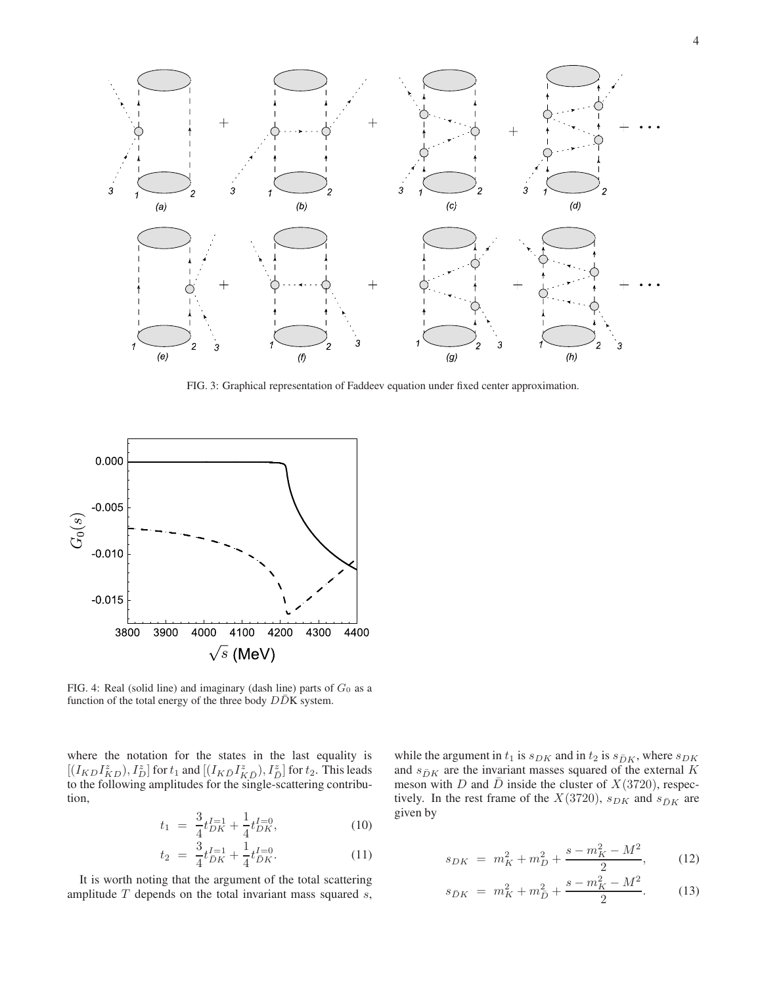

<span id="page-3-0"></span>FIG. 3: Graphical representation of Faddeev equation under fixed center approximation.



<span id="page-3-1"></span>FIG. 4: Real (solid line) and imaginary (dash line) parts of  $G_0$  as a function of the total energy of the three body  $D\bar{D}K$  system.

where the notation for the states in the last equality is  $[(I_{KD}I^z_{KD}),I^z_D]$  for  $t_1$  and  $[(I_{K\bar{D}}I^z_{K\bar{D}}),I^z_{\bar{D}}]$  for  $t_2.$  This leads to the following amplitudes for the single-scattering contribution,

$$
t_1 = \frac{3}{4}t_{DK}^{I=1} + \frac{1}{4}t_{DK}^{I=0},\tag{10}
$$

$$
t_2 = \frac{3}{4}t_{\bar{D}K}^{I=1} + \frac{1}{4}t_{\bar{D}K}^{I=0}.
$$
 (11)

It is worth noting that the argument of the total scattering amplitude  $T$  depends on the total invariant mass squared  $s$ , while the argument in  $t_1$  is  $s_{DK}$  and in  $t_2$  is  $s_{DK}$ , where  $s_{DK}$ and  $s_{\bar{D}K}$  are the invariant masses squared of the external K meson with D and  $\bar{D}$  inside the cluster of  $X(3720)$ , respectively. In the rest frame of the  $X(3720)$ ,  $s_{DK}$  and  $s_{\bar{D}K}$  are given by

$$
s_{DK} = m_K^2 + m_D^2 + \frac{s - m_K^2 - M^2}{2}, \qquad (12)
$$

$$
s_{\bar{D}K} = m_K^2 + m_{\bar{D}}^2 + \frac{s - m_K^2 - M^2}{2}.
$$
 (13)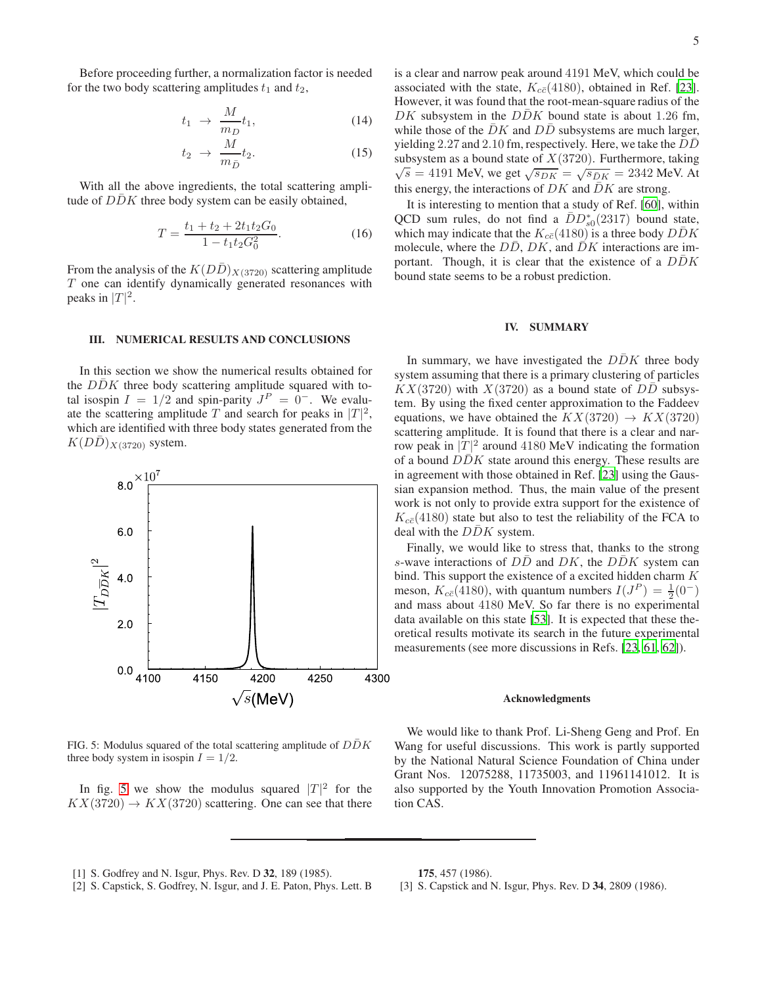$$
t_1 \rightarrow \frac{M}{m_D} t_1,\tag{14}
$$

$$
t_2 \to \frac{M}{m_{\bar{D}}} t_2. \tag{15}
$$

With all the above ingredients, the total scattering amplitude of  $D\bar{D}K$  three body system can be easily obtained,

$$
T = \frac{t_1 + t_2 + 2t_1t_2G_0}{1 - t_1t_2G_0^2}.
$$
 (16)

From the analysis of the  $K(DD)_{X(3720)}$  scattering amplitude T one can identify dynamically generated resonances with peaks in  $|T|^2$ .

### <span id="page-4-2"></span>III. NUMERICAL RESULTS AND CONCLUSIONS

In this section we show the numerical results obtained for the  $D\bar{D}K$  three body scattering amplitude squared with total isospin  $I = 1/2$  and spin-parity  $J<sup>P</sup> = 0^-$ . We evaluate the scattering amplitude T and search for peaks in  $|T|^2$ , which are identified with three body states generated from the  $K(DD)_{X(3720)}$  system.



<span id="page-4-3"></span>FIG. 5: Modulus squared of the total scattering amplitude of  $D\bar{D}K$ three body system in isospin  $I = 1/2$ .

In fig. [5](#page-4-3) we show the modulus squared  $|T|^2$  for the  $KX(3720) \rightarrow KX(3720)$  scattering. One can see that there is a clear and narrow peak around 4191 MeV, which could be associated with the state,  $K_{c\bar{c}}(4180)$ , obtained in Ref. [\[23](#page-5-5)]. However, it was found that the root-mean-square radius of the DK subsystem in the  $D\bar{D}K$  bound state is about 1.26 fm, while those of the  $\overline{DK}$  and  $\overline{DD}$  subsystems are much larger, yielding 2.27 and 2.10 fm, respectively. Here, we take the  $D\overline{D}$ subsystem as a bound state of  $X(3720)$ . Furthermore, taking  $\sqrt{s} = 4191 \text{ MeV, we get } \sqrt{s_{DK}} = \sqrt{s_{DK}} = 2342 \text{ MeV. At}$ this energy, the interactions of  $DK$  and  $DK$  are strong.

It is interesting to mention that a study of Ref. [\[60](#page-5-36)], within QCD sum rules, do not find a  $\bar{D}D_{s0}^{*}(2317)$  bound state, which may indicate that the  $K_{c\bar{c}}(4180)$  is a three body  $\bar{D}\bar{D}K$ molecule, where the  $D\bar{D}$ ,  $DK$ , and  $\bar{D}K$  interactions are important. Though, it is clear that the existence of a  $DDK$ bound state seems to be a robust prediction.

#### IV. SUMMARY

In summary, we have investigated the  $DDK$  three body system assuming that there is a primary clustering of particles  $KX(3720)$  with  $X(3720)$  as a bound state of  $D\overline{D}$  subsystem. By using the fixed center approximation to the Faddeev equations, we have obtained the  $KX(3720) \rightarrow KX(3720)$ scattering amplitude. It is found that there is a clear and narrow peak in  $|T|^2$  around 4180 MeV indicating the formation of a bound  $D\bar{D}K$  state around this energy. These results are in agreement with those obtained in Ref. [\[23](#page-5-5)] using the Gaussian expansion method. Thus, the main value of the present work is not only to provide extra support for the existence of  $K_{c\bar{c}}(4180)$  state but also to test the reliability of the FCA to deal with the  $D\bar{D}K$  system.

Finally, we would like to stress that, thanks to the strong s-wave interactions of  $D\bar{D}$  and  $DK$ , the  $D\bar{D}K$  system can bind. This support the existence of a excited hidden charm  ${\cal K}$ meson,  $K_{c\bar{c}}(4180)$ , with quantum numbers  $I(J^P) = \frac{1}{2}(0^-)$ and mass about 4180 MeV. So far there is no experimental data available on this state [\[53](#page-5-30)]. It is expected that these theoretical results motivate its search in the future experimental measurements (see more discussions in Refs. [\[23,](#page-5-5) [61,](#page-5-37) [62\]](#page-5-38)).

#### Acknowledgments

We would like to thank Prof. Li-Sheng Geng and Prof. En Wang for useful discussions. This work is partly supported by the National Natural Science Foundation of China under Grant Nos. 12075288, 11735003, and 11961141012. It is also supported by the Youth Innovation Promotion Association CAS.

- <span id="page-4-0"></span>[1] S. Godfrey and N. Isgur, Phys. Rev. D 32, 189 (1985).
- [2] S. Capstick, S. Godfrey, N. Isgur, and J. E. Paton, Phys. Lett. B

175, 457 (1986).

<span id="page-4-1"></span>[3] S. Capstick and N. Isgur, Phys. Rev. D 34, 2809 (1986).